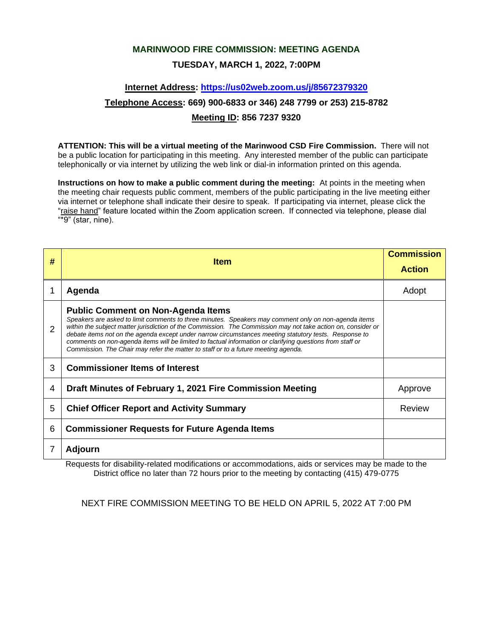# **MARINWOOD FIRE COMMISSION: MEETING AGENDA TUESDAY, MARCH 1, 2022, 7:00PM**

# **Internet Address:<https://us02web.zoom.us/j/85672379320> Telephone Access: 669) 900-6833 or 346) 248 7799 or 253) 215-8782 Meeting ID: 856 7237 9320**

**ATTENTION: This will be a virtual meeting of the Marinwood CSD Fire Commission.** There will not be a public location for participating in this meeting. Any interested member of the public can participate telephonically or via internet by utilizing the web link or dial-in information printed on this agenda.

**Instructions on how to make a public comment during the meeting:** At points in the meeting when the meeting chair requests public comment, members of the public participating in the live meeting either via internet or telephone shall indicate their desire to speak. If participating via internet, please click the "raise hand" feature located within the Zoom application screen. If connected via telephone, please dial "\*9" (star, nine).

| # | <b>Item</b>                                                                                                                                                                                                                                                                                                                                                                                                                                                                                                                                                                   | <b>Commission</b><br><b>Action</b> |
|---|-------------------------------------------------------------------------------------------------------------------------------------------------------------------------------------------------------------------------------------------------------------------------------------------------------------------------------------------------------------------------------------------------------------------------------------------------------------------------------------------------------------------------------------------------------------------------------|------------------------------------|
|   | Agenda                                                                                                                                                                                                                                                                                                                                                                                                                                                                                                                                                                        | Adopt                              |
| 2 | <b>Public Comment on Non-Agenda Items</b><br>Speakers are asked to limit comments to three minutes. Speakers may comment only on non-agenda items<br>within the subject matter jurisdiction of the Commission. The Commission may not take action on, consider or<br>debate items not on the agenda except under narrow circumstances meeting statutory tests. Response to<br>comments on non-agenda items will be limited to factual information or clarifying questions from staff or<br>Commission. The Chair may refer the matter to staff or to a future meeting agenda. |                                    |
| 3 | <b>Commissioner Items of Interest</b>                                                                                                                                                                                                                                                                                                                                                                                                                                                                                                                                         |                                    |
| 4 | Draft Minutes of February 1, 2021 Fire Commission Meeting                                                                                                                                                                                                                                                                                                                                                                                                                                                                                                                     | Approve                            |
| 5 | <b>Chief Officer Report and Activity Summary</b>                                                                                                                                                                                                                                                                                                                                                                                                                                                                                                                              | Review                             |
| 6 | <b>Commissioner Requests for Future Agenda Items</b>                                                                                                                                                                                                                                                                                                                                                                                                                                                                                                                          |                                    |
|   | <b>Adjourn</b><br>$\cdots$                                                                                                                                                                                                                                                                                                                                                                                                                                                                                                                                                    |                                    |

Requests for disability-related modifications or accommodations, aids or services may be made to the District office no later than 72 hours prior to the meeting by contacting (415) 479-0775

NEXT FIRE COMMISSION MEETING TO BE HELD ON APRIL 5, 2022 AT 7:00 PM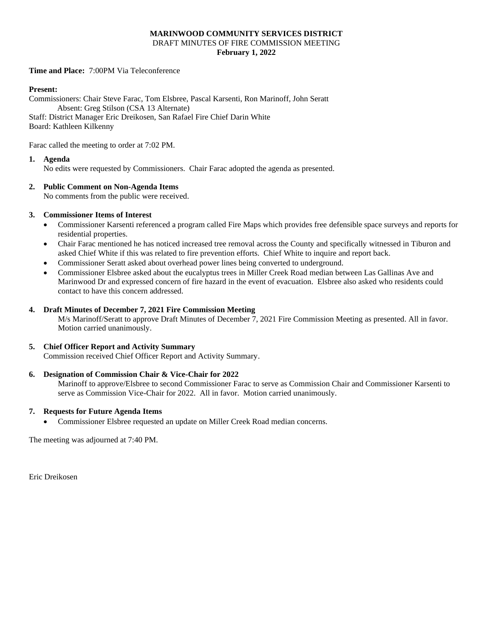#### **MARINWOOD COMMUNITY SERVICES DISTRICT** DRAFT MINUTES OF FIRE COMMISSION MEETING **February 1, 2022**

**Time and Place:** 7:00PM Via Teleconference

#### **Present:**

Commissioners: Chair Steve Farac, Tom Elsbree, Pascal Karsenti, Ron Marinoff, John Seratt Absent: Greg Stilson (CSA 13 Alternate) Staff: District Manager Eric Dreikosen, San Rafael Fire Chief Darin White Board: Kathleen Kilkenny

Farac called the meeting to order at 7:02 PM.

#### **1. Agenda**

No edits were requested by Commissioners. Chair Farac adopted the agenda as presented.

#### **2. Public Comment on Non-Agenda Items**

No comments from the public were received.

#### **3. Commissioner Items of Interest**

- Commissioner Karsenti referenced a program called Fire Maps which provides free defensible space surveys and reports for residential properties.
- Chair Farac mentioned he has noticed increased tree removal across the County and specifically witnessed in Tiburon and asked Chief White if this was related to fire prevention efforts. Chief White to inquire and report back.
- Commissioner Seratt asked about overhead power lines being converted to underground.
- Commissioner Elsbree asked about the eucalyptus trees in Miller Creek Road median between Las Gallinas Ave and Marinwood Dr and expressed concern of fire hazard in the event of evacuation. Elsbree also asked who residents could contact to have this concern addressed.

#### **4. Draft Minutes of December 7, 2021 Fire Commission Meeting**

M/s Marinoff/Seratt to approve Draft Minutes of December 7, 2021 Fire Commission Meeting as presented. All in favor. Motion carried unanimously.

#### **5. Chief Officer Report and Activity Summary**

Commission received Chief Officer Report and Activity Summary.

#### **6. Designation of Commission Chair & Vice-Chair for 2022**

Marinoff to approve/Elsbree to second Commissioner Farac to serve as Commission Chair and Commissioner Karsenti to serve as Commission Vice-Chair for 2022. All in favor. Motion carried unanimously.

#### **7. Requests for Future Agenda Items**

• Commissioner Elsbree requested an update on Miller Creek Road median concerns.

The meeting was adjourned at 7:40 PM.

Eric Dreikosen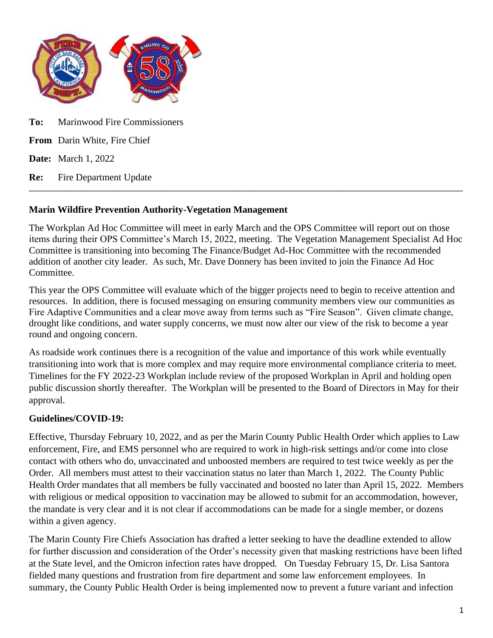

**Date:** March 1, 2022

**Re:** Fire Department Update  $\Box$ 

## **Marin Wildfire Prevention Authority-Vegetation Management**

The Workplan Ad Hoc Committee will meet in early March and the OPS Committee will report out on those items during their OPS Committee's March 15, 2022, meeting. The Vegetation Management Specialist Ad Hoc Committee is transitioning into becoming The Finance/Budget Ad-Hoc Committee with the recommended addition of another city leader. As such, Mr. Dave Donnery has been invited to join the Finance Ad Hoc Committee.

This year the OPS Committee will evaluate which of the bigger projects need to begin to receive attention and resources. In addition, there is focused messaging on ensuring community members view our communities as Fire Adaptive Communities and a clear move away from terms such as "Fire Season". Given climate change, drought like conditions, and water supply concerns, we must now alter our view of the risk to become a year round and ongoing concern.

As roadside work continues there is a recognition of the value and importance of this work while eventually transitioning into work that is more complex and may require more environmental compliance criteria to meet. Timelines for the FY 2022-23 Workplan include review of the proposed Workplan in April and holding open public discussion shortly thereafter. The Workplan will be presented to the Board of Directors in May for their approval.

# **Guidelines/COVID-19:**

Effective, Thursday February 10, 2022, and as per the Marin County Public Health Order which applies to Law enforcement, Fire, and EMS personnel who are required to work in high-risk settings and/or come into close contact with others who do, unvaccinated and unboosted members are required to test twice weekly as per the Order. All members must attest to their vaccination status no later than March 1, 2022. The County Public Health Order mandates that all members be fully vaccinated and boosted no later than April 15, 2022. Members with religious or medical opposition to vaccination may be allowed to submit for an accommodation, however, the mandate is very clear and it is not clear if accommodations can be made for a single member, or dozens within a given agency.

The Marin County Fire Chiefs Association has drafted a letter seeking to have the deadline extended to allow for further discussion and consideration of the Order's necessity given that masking restrictions have been lifted at the State level, and the Omicron infection rates have dropped. On Tuesday February 15, Dr. Lisa Santora fielded many questions and frustration from fire department and some law enforcement employees. In summary, the County Public Health Order is being implemented now to prevent a future variant and infection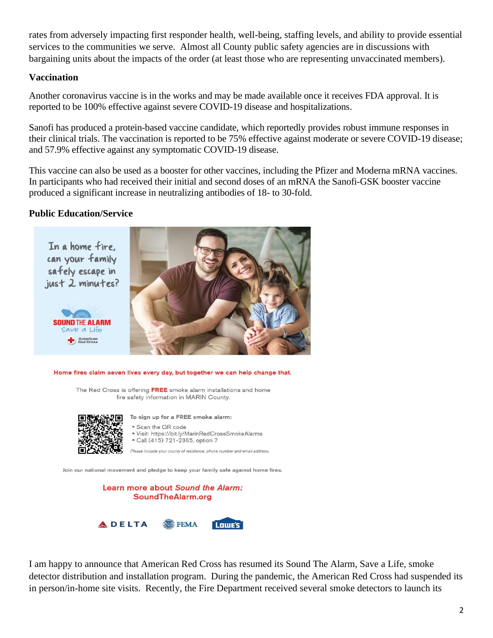rates from adversely impacting first responder health, well-being, staffing levels, and ability to provide essential services to the communities we serve. Almost all County public safety agencies are in discussions with bargaining units about the impacts of the order (at least those who are representing unvaccinated members).

### **Vaccination**

Another coronavirus vaccine is in the works and may be made available once it receives FDA approval. It is reported to be 100% effective against severe COVID-19 disease and hospitalizations.

Sanofi has produced a protein-based vaccine candidate, which reportedly provides robust immune responses in their clinical trials. The vaccination is reported to be 75% effective against moderate or severe COVID-19 disease; and 57.9% effective against any symptomatic COVID-19 disease.

This vaccine can also be used as a booster for other vaccines, including the Pfizer and Moderna mRNA vaccines. In participants who had received their initial and second doses of an mRNA the Sanofi-GSK booster vaccine produced a significant increase in neutralizing antibodies of 18- to 30-fold.

# **Public Education/Service**



Home fires claim seven lives every day, but together we can help change that.

The Red Cross is offering FREE smoke alarm installations and home fire safety information in MARIN County.



To sign up for a FREE smoke alarm:

" Scan the QR code " Visit: https://bit.ly/MarinRedCrossSmokeAlarms Call (415) 721-2365, option 7

Please include your county of residence, phone number and email address.

Join our national movement and pledge to keep your family safe against home fires.



I am happy to announce that American Red Cross has resumed its Sound The Alarm, Save a Life, smoke detector distribution and installation program. During the pandemic, the American Red Cross had suspended its in person/in-home site visits. Recently, the Fire Department received several smoke detectors to launch its